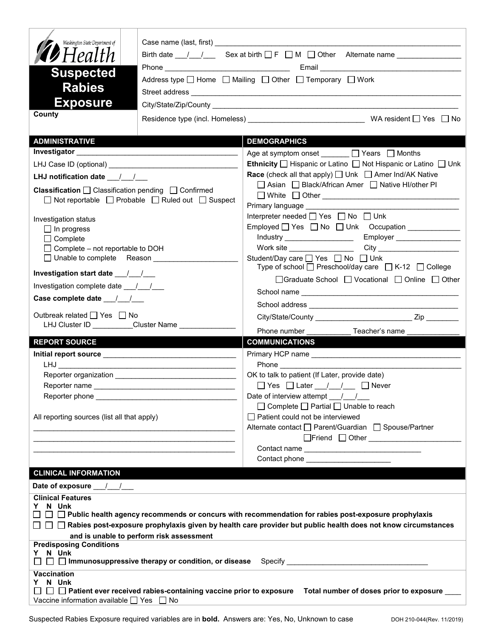| Washington State Department of<br>$\mathcal{\mathscr{D}}$ Health<br><b>Suspected</b>                                                                                                                                                                  |                                                        | Birth date $\frac{1}{\sqrt{2}}$ Sex at birth $\Box F \Box M \Box$ Other Alternate name $\Box$                             |  |  |
|-------------------------------------------------------------------------------------------------------------------------------------------------------------------------------------------------------------------------------------------------------|--------------------------------------------------------|---------------------------------------------------------------------------------------------------------------------------|--|--|
| <b>Rabies</b>                                                                                                                                                                                                                                         |                                                        | Address type   Home   Mailing   Other   Temporary   Work                                                                  |  |  |
| <b>Exposure</b>                                                                                                                                                                                                                                       |                                                        |                                                                                                                           |  |  |
| County                                                                                                                                                                                                                                                |                                                        |                                                                                                                           |  |  |
|                                                                                                                                                                                                                                                       |                                                        |                                                                                                                           |  |  |
| <b>ADMINISTRATIVE</b>                                                                                                                                                                                                                                 |                                                        | <b>DEMOGRAPHICS</b>                                                                                                       |  |  |
| Investigator Management and Contract and Contract of the Contract of the Contract of the Contract of the Contract of the Contract of the Contract of the Contract of the Contract of the Contract of the Contract of the Contr                        |                                                        | Age at symptom onset ______ □ Years □ Months                                                                              |  |  |
|                                                                                                                                                                                                                                                       |                                                        | Ethnicity □ Hispanic or Latino □ Not Hispanic or Latino □ Unk                                                             |  |  |
| LHJ notification date __/_/__                                                                                                                                                                                                                         |                                                        | <b>Race</b> (check all that apply) <u>□</u> Unk □ Amer Ind/AK Native<br>□ Asian □ Black/African Amer □ Native HI/other PI |  |  |
| Classification □ Classification pending □ Confirmed                                                                                                                                                                                                   |                                                        |                                                                                                                           |  |  |
| $\Box$ Not reportable $\Box$ Probable $\Box$ Ruled out $\Box$ Suspect                                                                                                                                                                                 |                                                        | Primary language Manuscriptus and Changes and Changes and Changes and Changes and Changes                                 |  |  |
| Investigation status                                                                                                                                                                                                                                  |                                                        | Interpreter needed [ Yes   No   Unk                                                                                       |  |  |
| $\Box$ In progress                                                                                                                                                                                                                                    |                                                        |                                                                                                                           |  |  |
| $\Box$ Complete                                                                                                                                                                                                                                       |                                                        |                                                                                                                           |  |  |
| $\Box$ Complete – not reportable to DOH<br>□ Unable to complete Reason                                                                                                                                                                                |                                                        | Student/Day care <sup>1</sup> Yes <sup>1</sup> No <sup>1</sup> Unk                                                        |  |  |
|                                                                                                                                                                                                                                                       |                                                        | Type of school $\Box$ Preschool/day care $\Box$ K-12 $\Box$ College                                                       |  |  |
| Investigation start date 11                                                                                                                                                                                                                           |                                                        | □Graduate School □ Vocational □ Online □ Other                                                                            |  |  |
| Investigation complete date __/__/__                                                                                                                                                                                                                  |                                                        |                                                                                                                           |  |  |
| Case complete date __/_/__/                                                                                                                                                                                                                           |                                                        |                                                                                                                           |  |  |
| Outbreak related □ Yes □ No                                                                                                                                                                                                                           |                                                        |                                                                                                                           |  |  |
|                                                                                                                                                                                                                                                       | LHJ Cluster ID __________Cluster Name ________________ | Phone number <b>Example</b><br>Teacher's name                                                                             |  |  |
| <b>REPORT SOURCE</b>                                                                                                                                                                                                                                  |                                                        | <b>COMMUNICATIONS</b>                                                                                                     |  |  |
|                                                                                                                                                                                                                                                       |                                                        |                                                                                                                           |  |  |
|                                                                                                                                                                                                                                                       |                                                        |                                                                                                                           |  |  |
|                                                                                                                                                                                                                                                       |                                                        | OK to talk to patient (If Later, provide date)                                                                            |  |  |
|                                                                                                                                                                                                                                                       |                                                        | Date of interview attempt / /                                                                                             |  |  |
|                                                                                                                                                                                                                                                       |                                                        | $\Box$ Complete $\Box$ Partial $\Box$ Unable to reach                                                                     |  |  |
| All reporting sources (list all that apply)                                                                                                                                                                                                           |                                                        | □ Patient could not be interviewed                                                                                        |  |  |
|                                                                                                                                                                                                                                                       |                                                        | Alternate contact<br>□ Parent/Guardian<br>□ Spouse/Partner                                                                |  |  |
|                                                                                                                                                                                                                                                       |                                                        |                                                                                                                           |  |  |
|                                                                                                                                                                                                                                                       |                                                        | Contact phone ________________________                                                                                    |  |  |
| <b>CLINICAL INFORMATION</b>                                                                                                                                                                                                                           |                                                        |                                                                                                                           |  |  |
| Date of exposure 11                                                                                                                                                                                                                                   |                                                        |                                                                                                                           |  |  |
| <b>Clinical Features</b>                                                                                                                                                                                                                              |                                                        |                                                                                                                           |  |  |
| N Unk<br>Y.                                                                                                                                                                                                                                           |                                                        |                                                                                                                           |  |  |
| $\Box~\Box~\Box$ Public health agency recommends or concurs with recommendation for rabies post-exposure prophylaxis<br>$\Box~\Box~\Box$ Rabies post-exposure prophylaxis given by health care provider but public health does not know circumstances |                                                        |                                                                                                                           |  |  |
|                                                                                                                                                                                                                                                       | and is unable to perform risk assessment               |                                                                                                                           |  |  |
| <b>Predisposing Conditions</b>                                                                                                                                                                                                                        |                                                        |                                                                                                                           |  |  |
| Y N Unk                                                                                                                                                                                                                                               |                                                        |                                                                                                                           |  |  |
| <b>Vaccination</b>                                                                                                                                                                                                                                    |                                                        |                                                                                                                           |  |  |
| Y N Unk<br>$\Box~\Box~$ Patient ever received rabies-containing vaccine prior to exposure $~\,$ Total number of doses prior to exposure $\_\_$                                                                                                        |                                                        |                                                                                                                           |  |  |
| Vaccine information available $\Box$ Yes $\Box$ No                                                                                                                                                                                                    |                                                        |                                                                                                                           |  |  |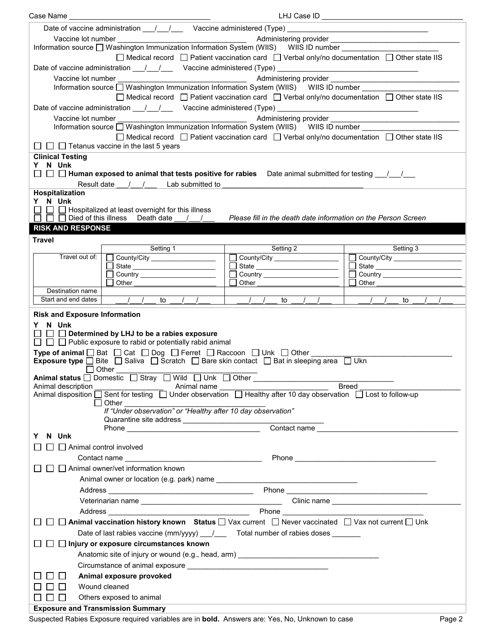| Case Name                                                                                                                            | LHJ Case ID                                                                                                                                    |                       |  |  |
|--------------------------------------------------------------------------------------------------------------------------------------|------------------------------------------------------------------------------------------------------------------------------------------------|-----------------------|--|--|
| Date of vaccine administration ____/ ___/ ____ Vaccine administered (Type) __________________________________                        |                                                                                                                                                |                       |  |  |
|                                                                                                                                      |                                                                                                                                                |                       |  |  |
|                                                                                                                                      |                                                                                                                                                |                       |  |  |
|                                                                                                                                      | $\Box$ Medical record $\Box$ Patient vaccination card $\Box$ Verbal only/no documentation $\Box$ Other state IIS                               |                       |  |  |
| Date of vaccine administration ___/___/ ___ Vaccine administered (Type) __________________________________                           |                                                                                                                                                |                       |  |  |
|                                                                                                                                      |                                                                                                                                                |                       |  |  |
| Information source Nashington Immunization Information System (WIIS) WIIS ID number                                                  |                                                                                                                                                |                       |  |  |
|                                                                                                                                      | $\Box$ Medical record $\Box$ Patient vaccination card $\Box$ Verbal only/no documentation $\Box$ Other state IIS                               |                       |  |  |
| Date of vaccine administration ____/____/ _____ Vaccine administered (Type) _________________________________                        |                                                                                                                                                |                       |  |  |
|                                                                                                                                      | Administering provider<br>Management Administering of the Administering of the Administering of the Administering of the Administer Administer |                       |  |  |
| Information source □ Washington Immunization Information System (WIIS) WIIS ID number                                                |                                                                                                                                                |                       |  |  |
|                                                                                                                                      | $\Box$ Medical record $\Box$ Patient vaccination card $\Box$ Verbal only/no documentation $\Box$ Other state IIS                               |                       |  |  |
| $\Box$ $\Box$ Tetanus vaccine in the last 5 years                                                                                    |                                                                                                                                                |                       |  |  |
| <b>Clinical Testing</b>                                                                                                              |                                                                                                                                                |                       |  |  |
| Y N Unk                                                                                                                              |                                                                                                                                                |                       |  |  |
| $\Box~\Box~$ Human exposed to animal that tests positive for rabies $~\,$ Date animal submitted for testing ___/___/___              |                                                                                                                                                |                       |  |  |
| Result date / / Lab submitted to                                                                                                     |                                                                                                                                                |                       |  |  |
| Hospitalization<br>Y N Unk                                                                                                           |                                                                                                                                                |                       |  |  |
| $\Box$ $\Box$ Hospitalized at least overnight for this illness                                                                       |                                                                                                                                                |                       |  |  |
| $\Box$ $\Box$ Died of this illness Death date / /                                                                                    | Please fill in the death date information on the Person Screen                                                                                 |                       |  |  |
| <b>RISK AND RESPONSE</b>                                                                                                             |                                                                                                                                                |                       |  |  |
| <b>Travel</b>                                                                                                                        |                                                                                                                                                |                       |  |  |
| Setting 1                                                                                                                            | Setting 2                                                                                                                                      | Setting 3             |  |  |
| Travel out of:  <br>County/City _________________                                                                                    | County/City ___________________                                                                                                                | County/City<br>$\Box$ |  |  |
| State                                                                                                                                |                                                                                                                                                | $\Box$                |  |  |
| ◯ Country <u>_________________</u> ___                                                                                               | □ Country <u>_________________</u>                                                                                                             |                       |  |  |
| Other<br>Destination name                                                                                                            | Other                                                                                                                                          | Other                 |  |  |
| Start and end dates<br>$\frac{1}{1}$ to $\frac{1}{1}$                                                                                | to $/$ $/$                                                                                                                                     | to                    |  |  |
|                                                                                                                                      |                                                                                                                                                |                       |  |  |
| <b>Risk and Exposure Information</b>                                                                                                 |                                                                                                                                                |                       |  |  |
| Y N Unk                                                                                                                              |                                                                                                                                                |                       |  |  |
| $\Box$ $\Box$ Determined by LHJ to be a rabies exposure<br>$\Box$ $\Box$ Public exposure to rabid or potentially rabid animal        |                                                                                                                                                |                       |  |  |
| <b>Type of animal</b> $\Box$ Bat $\Box$ Cat $\Box$ Dog $\Box$ Ferret $\Box$ Raccoon $\Box$ Unk $\Box$ Other                          |                                                                                                                                                |                       |  |  |
| Exposure type □ Bite □ Saliva □ Scratch □ Bare skin contact □ Bat in sleeping area □ Ukn                                             |                                                                                                                                                |                       |  |  |
| $\Box$ Other                                                                                                                         |                                                                                                                                                |                       |  |  |
| Animal status □ Domestic □ Stray □ Wild □ Unk □ Other __________________________                                                     |                                                                                                                                                |                       |  |  |
| Animal description<br>Animal name                                                                                                    |                                                                                                                                                | <b>Breed</b>          |  |  |
| Animal disposition $\Box$ Sent for testing $\Box$ Under observation $\Box$ Healthy after 10 day observation $\Box$ Lost to follow-up |                                                                                                                                                |                       |  |  |
| $\Box$ Other<br>If "Under observation" or "Healthy after 10 day observation"                                                         |                                                                                                                                                |                       |  |  |
|                                                                                                                                      |                                                                                                                                                |                       |  |  |
| Contact name                                                                                                                         |                                                                                                                                                |                       |  |  |
| N Unk<br>Y                                                                                                                           |                                                                                                                                                |                       |  |  |
| Animal control involved                                                                                                              |                                                                                                                                                |                       |  |  |
|                                                                                                                                      |                                                                                                                                                |                       |  |  |
| $\Box$ Animal owner/vet information known                                                                                            |                                                                                                                                                |                       |  |  |
|                                                                                                                                      |                                                                                                                                                |                       |  |  |
|                                                                                                                                      |                                                                                                                                                |                       |  |  |
|                                                                                                                                      |                                                                                                                                                |                       |  |  |
|                                                                                                                                      |                                                                                                                                                |                       |  |  |
| □ Animal vaccination history known Status ■ Vax current ■ Never vaccinated ■ Vax not current ■ Unk                                   |                                                                                                                                                |                       |  |  |
| Date of last rabies vaccine (mm/yyyy) __/___ Total number of rabies doses ______                                                     |                                                                                                                                                |                       |  |  |
| □ Injury or exposure circumstances known                                                                                             |                                                                                                                                                |                       |  |  |
|                                                                                                                                      |                                                                                                                                                |                       |  |  |
| Anatomic site of injury or wound (e.g., head, arm) ______________________________                                                    |                                                                                                                                                |                       |  |  |
|                                                                                                                                      |                                                                                                                                                |                       |  |  |
| Animal exposure provoked                                                                                                             |                                                                                                                                                |                       |  |  |
| Wound cleaned                                                                                                                        |                                                                                                                                                |                       |  |  |
| Others exposed to animal                                                                                                             |                                                                                                                                                |                       |  |  |
| <b>Exposure and Transmission Summary</b>                                                                                             |                                                                                                                                                |                       |  |  |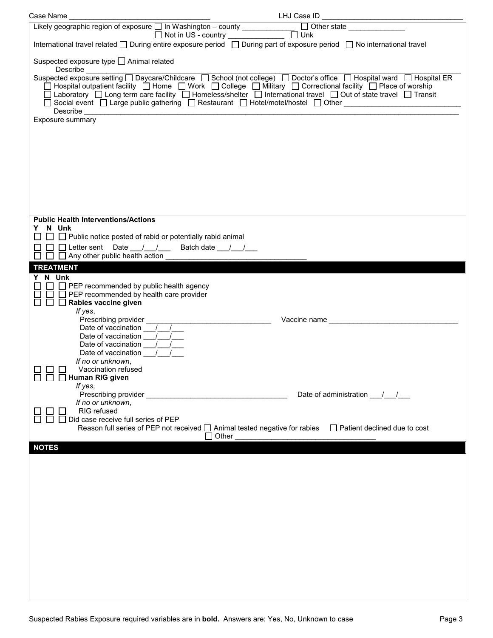| Case Name                                                                                        |                                                                                                                         |
|--------------------------------------------------------------------------------------------------|-------------------------------------------------------------------------------------------------------------------------|
|                                                                                                  |                                                                                                                         |
|                                                                                                  |                                                                                                                         |
|                                                                                                  | International travel related □ During entire exposure period □ During part of exposure period □ No international travel |
| Suspected exposure type □ Animal related                                                         |                                                                                                                         |
|                                                                                                  |                                                                                                                         |
|                                                                                                  | □ Hospital outpatient facility □ Home □ Work □ College □ Military □ Correctional facility □ Place of worship            |
|                                                                                                  | □ Laboratory □ Long term care facility □ Homeless/shelter □ International travel □ Out of state travel □ Transit        |
| Describe _______________________                                                                 |                                                                                                                         |
| Exposure summary                                                                                 |                                                                                                                         |
|                                                                                                  |                                                                                                                         |
|                                                                                                  |                                                                                                                         |
|                                                                                                  |                                                                                                                         |
|                                                                                                  |                                                                                                                         |
|                                                                                                  |                                                                                                                         |
|                                                                                                  |                                                                                                                         |
|                                                                                                  |                                                                                                                         |
|                                                                                                  |                                                                                                                         |
| <b>Public Health Interventions/Actions</b>                                                       |                                                                                                                         |
| N Unk<br>$\Box$ Public notice posted of rabid or potentially rabid animal                        |                                                                                                                         |
| $\Box$ $\Box$ Letter sent Date __/__/__<br>Batch date __/__/___                                  |                                                                                                                         |
| $\Box$ Any other public health action                                                            |                                                                                                                         |
| <b>TREATMENT</b>                                                                                 |                                                                                                                         |
| Y N Unk                                                                                          |                                                                                                                         |
| $\Box$ PEP recommended by public health agency<br>$\Box$ PEP recommended by health care provider |                                                                                                                         |
| $\Box$ Rabies vaccine given                                                                      |                                                                                                                         |
| If yes,                                                                                          |                                                                                                                         |
|                                                                                                  |                                                                                                                         |
| Date of vaccination / /                                                                          |                                                                                                                         |
| Date of vaccination /<br>Date of vaccination /                                                   |                                                                                                                         |
| If no or unknown,                                                                                |                                                                                                                         |
| Vaccination refused                                                                              |                                                                                                                         |
| Human RIG given<br>If yes,                                                                       |                                                                                                                         |
| Prescribing provider _                                                                           | Date of administration 11                                                                                               |
| If no or unknown,<br>RIG refused                                                                 |                                                                                                                         |
| Did case receive full series of PEP                                                              |                                                                                                                         |
|                                                                                                  | Reason full series of PEP not received □ Animal tested negative for rabies □ Patient declined due to cost               |
| $\lrcorner$ Other<br><b>NOTES</b>                                                                |                                                                                                                         |
|                                                                                                  |                                                                                                                         |
|                                                                                                  |                                                                                                                         |
|                                                                                                  |                                                                                                                         |
|                                                                                                  |                                                                                                                         |
|                                                                                                  |                                                                                                                         |
|                                                                                                  |                                                                                                                         |
|                                                                                                  |                                                                                                                         |
|                                                                                                  |                                                                                                                         |
|                                                                                                  |                                                                                                                         |
|                                                                                                  |                                                                                                                         |
|                                                                                                  |                                                                                                                         |
|                                                                                                  |                                                                                                                         |
|                                                                                                  |                                                                                                                         |